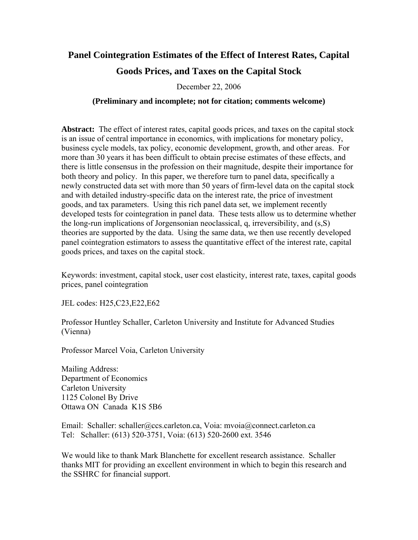# **Panel Cointegration Estimates of the Effect of Interest Rates, Capital**

# **Goods Prices, and Taxes on the Capital Stock**

December 22, 2006

## **(Preliminary and incomplete; not for citation; comments welcome)**

**Abstract:** The effect of interest rates, capital goods prices, and taxes on the capital stock is an issue of central importance in economics, with implications for monetary policy, business cycle models, tax policy, economic development, growth, and other areas. For more than 30 years it has been difficult to obtain precise estimates of these effects, and there is little consensus in the profession on their magnitude, despite their importance for both theory and policy. In this paper, we therefore turn to panel data, specifically a newly constructed data set with more than 50 years of firm-level data on the capital stock and with detailed industry-specific data on the interest rate, the price of investment goods, and tax parameters. Using this rich panel data set, we implement recently developed tests for cointegration in panel data. These tests allow us to determine whether the long-run implications of Jorgensonian neoclassical, q, irreversibility, and (s,S) theories are supported by the data. Using the same data, we then use recently developed panel cointegration estimators to assess the quantitative effect of the interest rate, capital goods prices, and taxes on the capital stock.

Keywords: investment, capital stock, user cost elasticity, interest rate, taxes, capital goods prices, panel cointegration

JEL codes: H25,C23,E22,E62

Professor Huntley Schaller, Carleton University and Institute for Advanced Studies (Vienna)

Professor Marcel Voia, Carleton University

Mailing Address: Department of Economics Carleton University 1125 Colonel By Drive Ottawa ON Canada K1S 5B6

Email: Schaller: schaller@ccs.carleton.ca, Voia: mvoia@connect.carleton.ca Tel: Schaller: (613) 520-3751, Voia: (613) 520-2600 ext. 3546

We would like to thank Mark Blanchette for excellent research assistance. Schaller thanks MIT for providing an excellent environment in which to begin this research and the SSHRC for financial support.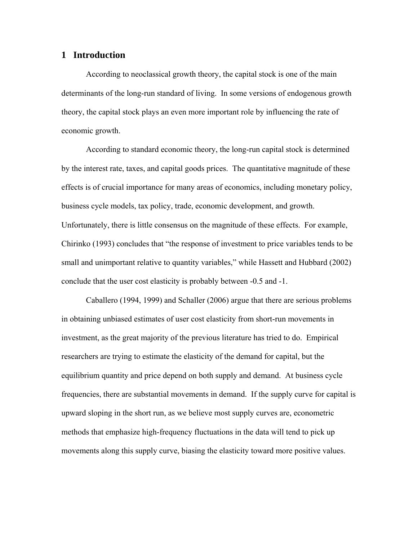# **1 Introduction**

 According to neoclassical growth theory, the capital stock is one of the main determinants of the long-run standard of living. In some versions of endogenous growth theory, the capital stock plays an even more important role by influencing the rate of economic growth.

 According to standard economic theory, the long-run capital stock is determined by the interest rate, taxes, and capital goods prices. The quantitative magnitude of these effects is of crucial importance for many areas of economics, including monetary policy, business cycle models, tax policy, trade, economic development, and growth. Unfortunately, there is little consensus on the magnitude of these effects. For example, Chirinko (1993) concludes that "the response of investment to price variables tends to be small and unimportant relative to quantity variables," while Hassett and Hubbard (2002) conclude that the user cost elasticity is probably between -0.5 and -1.

 Caballero (1994, 1999) and Schaller (2006) argue that there are serious problems in obtaining unbiased estimates of user cost elasticity from short-run movements in investment, as the great majority of the previous literature has tried to do. Empirical researchers are trying to estimate the elasticity of the demand for capital, but the equilibrium quantity and price depend on both supply and demand. At business cycle frequencies, there are substantial movements in demand. If the supply curve for capital is upward sloping in the short run, as we believe most supply curves are, econometric methods that emphasize high-frequency fluctuations in the data will tend to pick up movements along this supply curve, biasing the elasticity toward more positive values.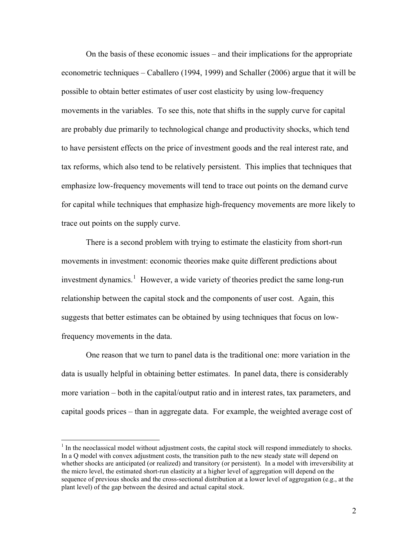On the basis of these economic issues – and their implications for the appropriate econometric techniques – Caballero (1994, 1999) and Schaller (2006) argue that it will be possible to obtain better estimates of user cost elasticity by using low-frequency movements in the variables. To see this, note that shifts in the supply curve for capital are probably due primarily to technological change and productivity shocks, which tend to have persistent effects on the price of investment goods and the real interest rate, and tax reforms, which also tend to be relatively persistent. This implies that techniques that emphasize low-frequency movements will tend to trace out points on the demand curve for capital while techniques that emphasize high-frequency movements are more likely to trace out points on the supply curve.

 There is a second problem with trying to estimate the elasticity from short-run movements in investment: economic theories make quite different predictions about investment dynamics.<sup>[1](#page-2-0)</sup> However, a wide variety of theories predict the same long-run relationship between the capital stock and the components of user cost. Again, this suggests that better estimates can be obtained by using techniques that focus on lowfrequency movements in the data.

 One reason that we turn to panel data is the traditional one: more variation in the data is usually helpful in obtaining better estimates. In panel data, there is considerably more variation – both in the capital/output ratio and in interest rates, tax parameters, and capital goods prices – than in aggregate data. For example, the weighted average cost of

 $\overline{a}$ 

<span id="page-2-0"></span> $<sup>1</sup>$  In the neoclassical model without adjustment costs, the capital stock will respond immediately to shocks.</sup> In a Q model with convex adjustment costs, the transition path to the new steady state will depend on whether shocks are anticipated (or realized) and transitory (or persistent). In a model with irreversibility at the micro level, the estimated short-run elasticity at a higher level of aggregation will depend on the sequence of previous shocks and the cross-sectional distribution at a lower level of aggregation (e.g., at the plant level) of the gap between the desired and actual capital stock.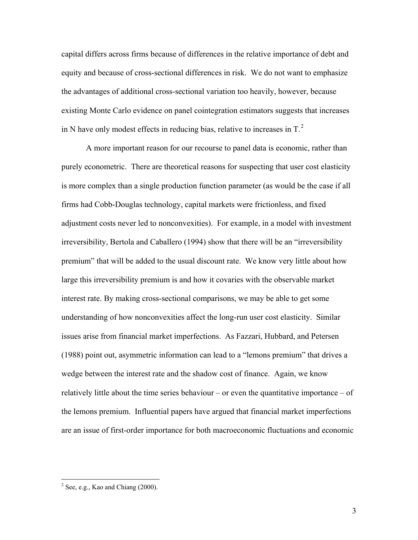capital differs across firms because of differences in the relative importance of debt and equity and because of cross-sectional differences in risk. We do not want to emphasize the advantages of additional cross-sectional variation too heavily, however, because existing Monte Carlo evidence on panel cointegration estimators suggests that increases in N have only modest effects in reducing bias, relative to increases in  $T<sup>2</sup>$  $T<sup>2</sup>$  $T<sup>2</sup>$ .

 A more important reason for our recourse to panel data is economic, rather than purely econometric. There are theoretical reasons for suspecting that user cost elasticity is more complex than a single production function parameter (as would be the case if all firms had Cobb-Douglas technology, capital markets were frictionless, and fixed adjustment costs never led to nonconvexities). For example, in a model with investment irreversibility, Bertola and Caballero (1994) show that there will be an "irreversibility premium" that will be added to the usual discount rate. We know very little about how large this irreversibility premium is and how it covaries with the observable market interest rate. By making cross-sectional comparisons, we may be able to get some understanding of how nonconvexities affect the long-run user cost elasticity. Similar issues arise from financial market imperfections. As Fazzari, Hubbard, and Petersen (1988) point out, asymmetric information can lead to a "lemons premium" that drives a wedge between the interest rate and the shadow cost of finance. Again, we know relatively little about the time series behaviour – or even the quantitative importance – of the lemons premium. Influential papers have argued that financial market imperfections are an issue of first-order importance for both macroeconomic fluctuations and economic

 $\overline{a}$ 

<span id="page-3-0"></span> $2^2$  See, e.g., Kao and Chiang (2000).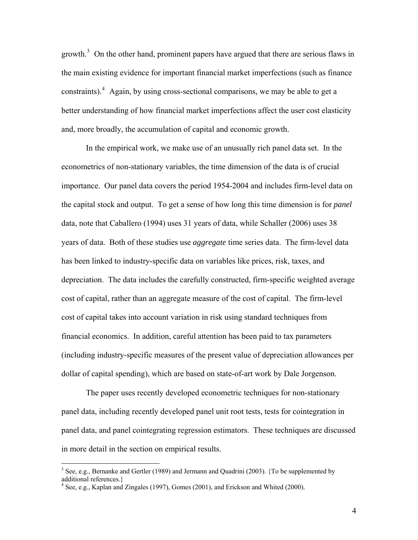growth.<sup>[3](#page-4-0)</sup> On the other hand, prominent papers have argued that there are serious flaws in the main existing evidence for important financial market imperfections (such as finance constraints).  $4$  Again, by using cross-sectional comparisons, we may be able to get a better understanding of how financial market imperfections affect the user cost elasticity and, more broadly, the accumulation of capital and economic growth.

 In the empirical work, we make use of an unusually rich panel data set. In the econometrics of non-stationary variables, the time dimension of the data is of crucial importance. Our panel data covers the period 1954-2004 and includes firm-level data on the capital stock and output. To get a sense of how long this time dimension is for *panel* data, note that Caballero (1994) uses 31 years of data, while Schaller (2006) uses 38 years of data. Both of these studies use *aggregate* time series data. The firm-level data has been linked to industry-specific data on variables like prices, risk, taxes, and depreciation. The data includes the carefully constructed, firm-specific weighted average cost of capital, rather than an aggregate measure of the cost of capital. The firm-level cost of capital takes into account variation in risk using standard techniques from financial economics. In addition, careful attention has been paid to tax parameters (including industry-specific measures of the present value of depreciation allowances per dollar of capital spending), which are based on state-of-art work by Dale Jorgenson.

 The paper uses recently developed econometric techniques for non-stationary panel data, including recently developed panel unit root tests, tests for cointegration in panel data, and panel cointegrating regression estimators. These techniques are discussed in more detail in the section on empirical results.

 $\overline{a}$ 

4

<span id="page-4-0"></span> $3$  See, e.g., Bernanke and Gertler (1989) and Jermann and Quadrini (2003). {To be supplemented by additional references.}

<span id="page-4-1"></span><sup>&</sup>lt;sup>4</sup> See, e.g., Kaplan and Zingales (1997), Gomes (2001), and Erickson and Whited (2000).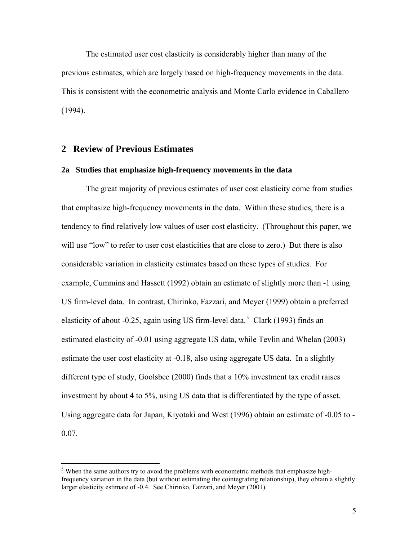The estimated user cost elasticity is considerably higher than many of the previous estimates, which are largely based on high-frequency movements in the data. This is consistent with the econometric analysis and Monte Carlo evidence in Caballero (1994).

### **2 Review of Previous Estimates**

 $\overline{a}$ 

### **2a Studies that emphasize high-frequency movements in the data**

 The great majority of previous estimates of user cost elasticity come from studies that emphasize high-frequency movements in the data. Within these studies, there is a tendency to find relatively low values of user cost elasticity. (Throughout this paper, we will use "low" to refer to user cost elasticities that are close to zero.) But there is also considerable variation in elasticity estimates based on these types of studies. For example, Cummins and Hassett (1992) obtain an estimate of slightly more than -1 using US firm-level data. In contrast, Chirinko, Fazzari, and Meyer (1999) obtain a preferred elasticity of about -0.2[5](#page-5-0), again using US firm-level data.<sup>5</sup> Clark (1993) finds an estimated elasticity of -0.01 using aggregate US data, while Tevlin and Whelan (2003) estimate the user cost elasticity at -0.18, also using aggregate US data. In a slightly different type of study, Goolsbee (2000) finds that a 10% investment tax credit raises investment by about 4 to 5%, using US data that is differentiated by the type of asset. Using aggregate data for Japan, Kiyotaki and West (1996) obtain an estimate of -0.05 to - 0.07.

<span id="page-5-0"></span> $<sup>5</sup>$  When the same authors try to avoid the problems with econometric methods that emphasize high-</sup> frequency variation in the data (but without estimating the cointegrating relationship), they obtain a slightly larger elasticity estimate of -0.4. See Chirinko, Fazzari, and Meyer (2001).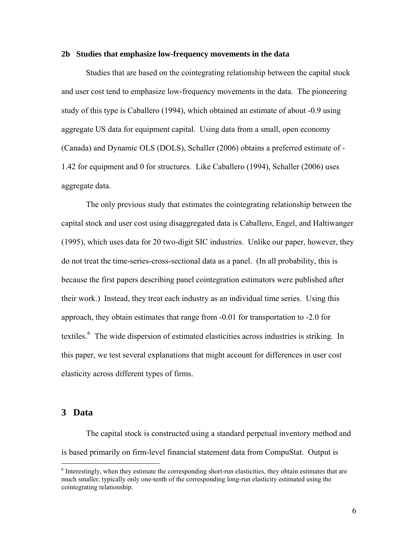#### **2b Studies that emphasize low-frequency movements in the data**

 Studies that are based on the cointegrating relationship between the capital stock and user cost tend to emphasize low-frequency movements in the data. The pioneering study of this type is Caballero (1994), which obtained an estimate of about -0.9 using aggregate US data for equipment capital. Using data from a small, open economy (Canada) and Dynamic OLS (DOLS), Schaller (2006) obtains a preferred estimate of - 1.42 for equipment and 0 for structures. Like Caballero (1994), Schaller (2006) uses aggregate data.

 The only previous study that estimates the cointegrating relationship between the capital stock and user cost using disaggregated data is Caballero, Engel, and Haltiwanger (1995), which uses data for 20 two-digit SIC industries. Unlike our paper, however, they do not treat the time-series-cross-sectional data as a panel. (In all probability, this is because the first papers describing panel cointegration estimators were published after their work.) Instead, they treat each industry as an individual time series. Using this approach, they obtain estimates that range from -0.01 for transportation to -2.0 for textiles.<sup>[6](#page-6-0)</sup> The wide dispersion of estimated elasticities across industries is striking. In this paper, we test several explanations that might account for differences in user cost elasticity across different types of firms.

## **3 Data**

 $\overline{a}$ 

 The capital stock is constructed using a standard perpetual inventory method and is based primarily on firm-level financial statement data from CompuStat. Output is

<span id="page-6-0"></span><sup>&</sup>lt;sup>6</sup> Interestingly, when they estimate the corresponding short-run elasticities, they obtain estimates that are much smaller, typically only one-tenth of the corresponding long-run elasticity estimated using the cointegrating relationship.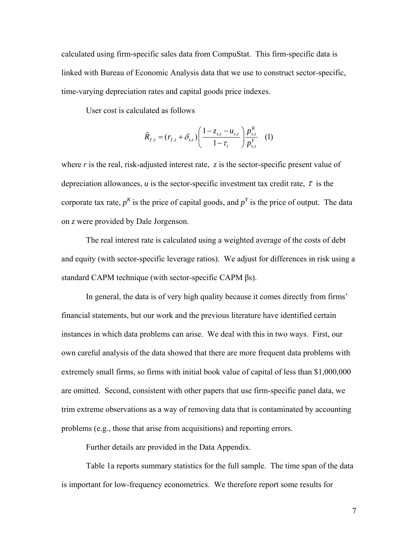calculated using firm-specific sales data from CompuStat. This firm-specific data is linked with Bureau of Economic Analysis data that we use to construct sector-specific, time-varying depreciation rates and capital goods price indexes.

User cost is calculated as follows

$$
\tilde{R}_{f,t} = (r_{f,t} + \delta_{s,t}) \left( \frac{1 - z_{s,t} - u_{s,t}}{1 - \tau_t} \right) \frac{p_{s,t}^K}{p_{s,t}^Y} \tag{1}
$$

where *r* is the real, risk-adjusted interest rate, *z* is the sector-specific present value of depreciation allowances,  $u$  is the sector-specific investment tax credit rate,  $\tau$  is the corporate tax rate,  $p<sup>K</sup>$  is the price of capital goods, and  $p<sup>Y</sup>$  is the price of output. The data on *z* were provided by Dale Jorgenson.

 The real interest rate is calculated using a weighted average of the costs of debt and equity (with sector-specific leverage ratios). We adjust for differences in risk using a standard CAPM technique (with sector-specific CAPM βs).

 In general, the data is of very high quality because it comes directly from firms' financial statements, but our work and the previous literature have identified certain instances in which data problems can arise. We deal with this in two ways. First, our own careful analysis of the data showed that there are more frequent data problems with extremely small firms, so firms with initial book value of capital of less than \$1,000,000 are omitted. Second, consistent with other papers that use firm-specific panel data, we trim extreme observations as a way of removing data that is contaminated by accounting problems (e.g., those that arise from acquisitions) and reporting errors.

Further details are provided in the Data Appendix.

 Table 1a reports summary statistics for the full sample. The time span of the data is important for low-frequency econometrics. We therefore report some results for

7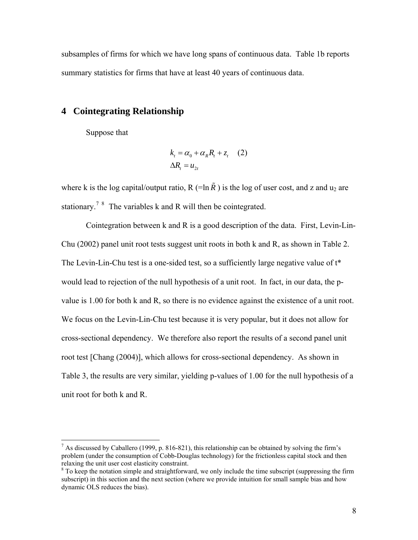subsamples of firms for which we have long spans of continuous data. Table 1b reports summary statistics for firms that have at least 40 years of continuous data.

# **4 Cointegrating Relationship**

Suppose that

 $\overline{a}$ 

$$
k_t = \alpha_0 + \alpha_R R_t + z_t \quad (2)
$$
  

$$
\Delta R_t = u_{2t}
$$

where k is the log capital/output ratio, R (=ln  $\tilde{R}$ ) is the log of user cost, and z and u<sub>2</sub> are stationary.<sup>[7](#page-8-0) [8](#page-8-1)</sup> The variables k and R will then be cointegrated.

Cointegration between k and R is a good description of the data. First, Levin-Lin-Chu (2002) panel unit root tests suggest unit roots in both k and R, as shown in Table 2. The Levin-Lin-Chu test is a one-sided test, so a sufficiently large negative value of t\* would lead to rejection of the null hypothesis of a unit root. In fact, in our data, the pvalue is 1.00 for both k and R, so there is no evidence against the existence of a unit root. We focus on the Levin-Lin-Chu test because it is very popular, but it does not allow for cross-sectional dependency. We therefore also report the results of a second panel unit root test [Chang (2004)], which allows for cross-sectional dependency. As shown in Table 3, the results are very similar, yielding p-values of 1.00 for the null hypothesis of a unit root for both k and R.

<span id="page-8-0"></span><sup>&</sup>lt;sup>7</sup> As discussed by Caballero (1999, p. 816-821), this relationship can be obtained by solving the firm's problem (under the consumption of Cobb-Douglas technology) for the frictionless capital stock and then relaxing the unit user cost elasticity constraint.

<span id="page-8-1"></span><sup>&</sup>lt;sup>8</sup> To keep the notation simple and straightforward, we only include the time subscript (suppressing the firm subscript) in this section and the next section (where we provide intuition for small sample bias and how dynamic OLS reduces the bias).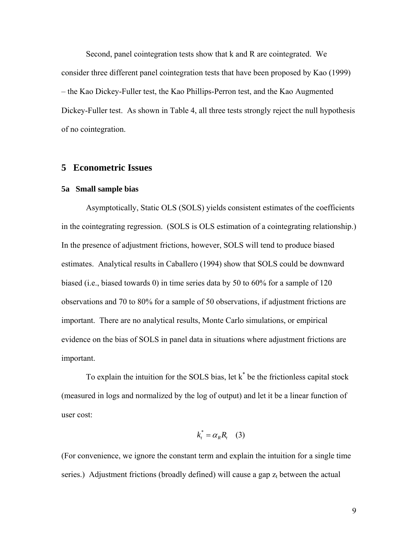Second, panel cointegration tests show that k and R are cointegrated. We consider three different panel cointegration tests that have been proposed by Kao (1999) – the Kao Dickey-Fuller test, the Kao Phillips-Perron test, and the Kao Augmented Dickey-Fuller test. As shown in Table 4, all three tests strongly reject the null hypothesis of no cointegration.

#### **5 Econometric Issues**

#### **5a Small sample bias**

Asymptotically, Static OLS (SOLS) yields consistent estimates of the coefficients in the cointegrating regression. (SOLS is OLS estimation of a cointegrating relationship.) In the presence of adjustment frictions, however, SOLS will tend to produce biased estimates. Analytical results in Caballero (1994) show that SOLS could be downward biased (i.e., biased towards 0) in time series data by 50 to 60% for a sample of 120 observations and 70 to 80% for a sample of 50 observations, if adjustment frictions are important. There are no analytical results, Monte Carlo simulations, or empirical evidence on the bias of SOLS in panel data in situations where adjustment frictions are important.

To explain the intuition for the SOLS bias, let  $k^*$  be the frictionless capital stock (measured in logs and normalized by the log of output) and let it be a linear function of user cost:

$$
k_t^* = \alpha_R R_t \quad (3)
$$

(For convenience, we ignore the constant term and explain the intuition for a single time series.) Adjustment frictions (broadly defined) will cause a gap  $z_t$  between the actual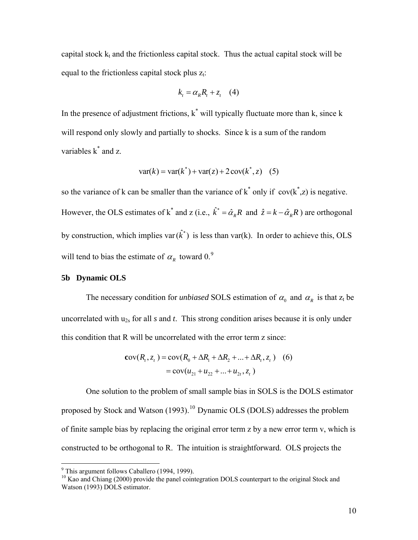capital stock  $k_t$  and the frictionless capital stock. Thus the actual capital stock will be equal to the frictionless capital stock plus  $z_t$ .

$$
k_t = \alpha_R R_t + z_t \quad (4)
$$

In the presence of adjustment frictions,  $k^*$  will typically fluctuate more than k, since k will respond only slowly and partially to shocks. Since k is a sum of the random variables  $k^*$  and z.

$$
var(k) = var(k^*) + var(z) + 2 cov(k^*, z)
$$
 (5)

so the variance of k can be smaller than the variance of  $k^*$  only if  $cov(k^*z)$  is negative. However, the OLS estimates of k<sup>\*</sup> and z (i.e.,  $\hat{k}^* = \hat{\alpha}_R R$  and  $\hat{z} = k - \hat{\alpha}_R R$ ) are orthogonal by construction, which implies var $(\hat{k}^*)$  is less than var(k). In order to achieve this, OLS will tend to bias the estimate of  $\alpha_R$  toward 0.<sup>[9](#page-10-0)</sup>

#### **5b Dynamic OLS**

The necessary condition for *unbiased* SOLS estimation of  $\alpha_0$  and  $\alpha_R$  is that  $z_t$  be uncorrelated with u2s for all *s* and *t*. This strong condition arises because it is only under this condition that R will be uncorrelated with the error term z since:

$$
cov(R_t, z_t) = cov(R_0 + \Delta R_1 + \Delta R_2 + ... + \Delta R_t, z_t)
$$
 (6)  
=  $cov(u_{21} + u_{22} + ... + u_{2t}, z_t)$ 

One solution to the problem of small sample bias in SOLS is the DOLS estimator proposed by Stock and Watson  $(1993)$ .<sup>[10](#page-10-1)</sup> Dynamic OLS (DOLS) addresses the problem of finite sample bias by replacing the original error term z by a new error term v, which is constructed to be orthogonal to R. The intuition is straightforward. OLS projects the

 9 This argument follows Caballero (1994, 1999).

<span id="page-10-1"></span><span id="page-10-0"></span><sup>&</sup>lt;sup>10</sup> Kao and Chiang (2000) provide the panel cointegration DOLS counterpart to the original Stock and Watson (1993) DOLS estimator.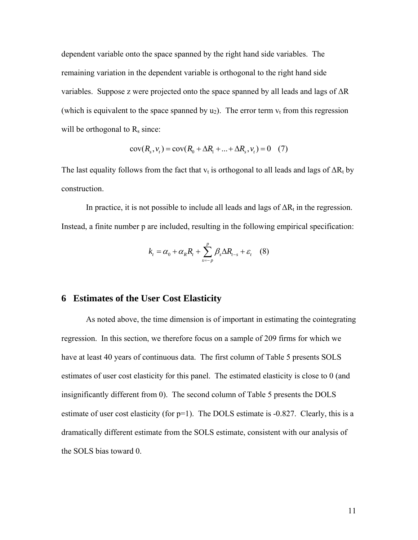dependent variable onto the space spanned by the right hand side variables. The remaining variation in the dependent variable is orthogonal to the right hand side variables. Suppose z were projected onto the space spanned by all leads and lags of  $\Delta R$ (which is equivalent to the space spanned by  $u_2$ ). The error term  $v_t$  from this regression will be orthogonal to  $R_s$  since:

$$
cov(R_s, v_t) = cov(R_0 + \Delta R_1 + ... + \Delta R_s, v_t) = 0 \quad (7)
$$

The last equality follows from the fact that  $v_t$  is orthogonal to all leads and lags of  $\Delta R_t$  by construction.

In practice, it is not possible to include all leads and lags of  $\Delta R_t$  in the regression. Instead, a finite number p are included, resulting in the following empirical specification:

$$
k_{t} = \alpha_{0} + \alpha_{R}R_{t} + \sum_{s=-p}^{p} \beta_{s} \Delta R_{t-s} + \varepsilon_{t} \quad (8)
$$

## **6 Estimates of the User Cost Elasticity**

 As noted above, the time dimension is of important in estimating the cointegrating regression. In this section, we therefore focus on a sample of 209 firms for which we have at least 40 years of continuous data. The first column of Table 5 presents SOLS estimates of user cost elasticity for this panel. The estimated elasticity is close to 0 (and insignificantly different from 0). The second column of Table 5 presents the DOLS estimate of user cost elasticity (for p=1). The DOLS estimate is -0.827. Clearly, this is a dramatically different estimate from the SOLS estimate, consistent with our analysis of the SOLS bias toward 0.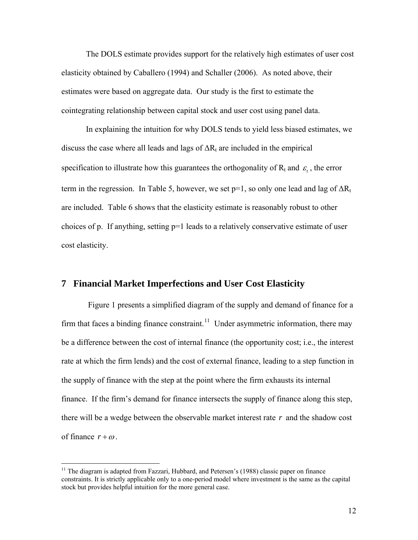The DOLS estimate provides support for the relatively high estimates of user cost elasticity obtained by Caballero (1994) and Schaller (2006). As noted above, their estimates were based on aggregate data. Our study is the first to estimate the cointegrating relationship between capital stock and user cost using panel data.

 In explaining the intuition for why DOLS tends to yield less biased estimates, we discuss the case where all leads and lags of  $\Delta R_t$  are included in the empirical specification to illustrate how this guarantees the orthogonality of  $R_t$  and  $\varepsilon$ , the error term in the regression. In Table 5, however, we set  $p=1$ , so only one lead and lag of  $\Delta R_t$ are included. Table 6 shows that the elasticity estimate is reasonably robust to other choices of p. If anything, setting  $p=1$  leads to a relatively conservative estimate of user cost elasticity.

### **7 Financial Market Imperfections and User Cost Elasticity**

 Figure 1 presents a simplified diagram of the supply and demand of finance for a firm that faces a binding finance constraint.<sup>[11](#page-12-0)</sup> Under asymmetric information, there may be a difference between the cost of internal finance (the opportunity cost; i.e., the interest rate at which the firm lends) and the cost of external finance, leading to a step function in the supply of finance with the step at the point where the firm exhausts its internal finance. If the firm's demand for finance intersects the supply of finance along this step, there will be a wedge between the observable market interest rate  $r$  and the shadow cost of finance  $r + \omega$ .

1

<span id="page-12-0"></span> $11$  The diagram is adapted from Fazzari, Hubbard, and Petersen's (1988) classic paper on finance constraints. It is strictly applicable only to a one-period model where investment is the same as the capital stock but provides helpful intuition for the more general case.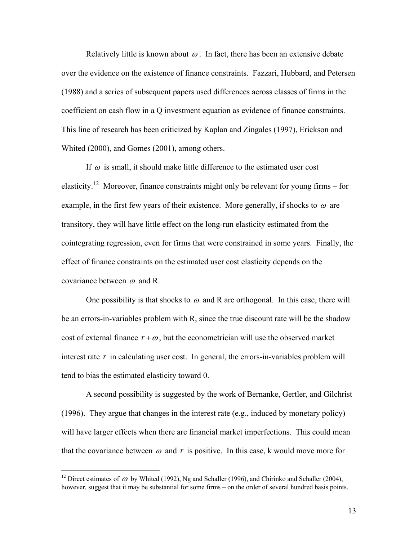Relatively little is known about  $\omega$ . In fact, there has been an extensive debate over the evidence on the existence of finance constraints. Fazzari, Hubbard, and Petersen (1988) and a series of subsequent papers used differences across classes of firms in the coefficient on cash flow in a Q investment equation as evidence of finance constraints. This line of research has been criticized by Kaplan and Zingales (1997), Erickson and Whited (2000), and Gomes (2001), among others.

If  $\omega$  is small, it should make little difference to the estimated user cost elasticity.<sup>[12](#page-13-0)</sup> Moreover, finance constraints might only be relevant for young firms – for example, in the first few years of their existence. More generally, if shocks to  $\omega$  are transitory, they will have little effect on the long-run elasticity estimated from the cointegrating regression, even for firms that were constrained in some years. Finally, the effect of finance constraints on the estimated user cost elasticity depends on the covariance between  $\omega$  and R.

One possibility is that shocks to  $\omega$  and R are orthogonal. In this case, there will be an errors-in-variables problem with R, since the true discount rate will be the shadow cost of external finance  $r + \omega$ , but the econometrician will use the observed market interest rate  $r$  in calculating user cost. In general, the errors-in-variables problem will tend to bias the estimated elasticity toward 0.

 A second possibility is suggested by the work of Bernanke, Gertler, and Gilchrist (1996). They argue that changes in the interest rate (e.g., induced by monetary policy) will have larger effects when there are financial market imperfections. This could mean that the covariance between  $\omega$  and r is positive. In this case, k would move more for

 $\overline{a}$ 

<span id="page-13-0"></span><sup>&</sup>lt;sup>12</sup> Direct estimates of  $\omega$  by Whited (1992), Ng and Schaller (1996), and Chirinko and Schaller (2004), however, suggest that it may be substantial for some firms – on the order of several hundred basis points.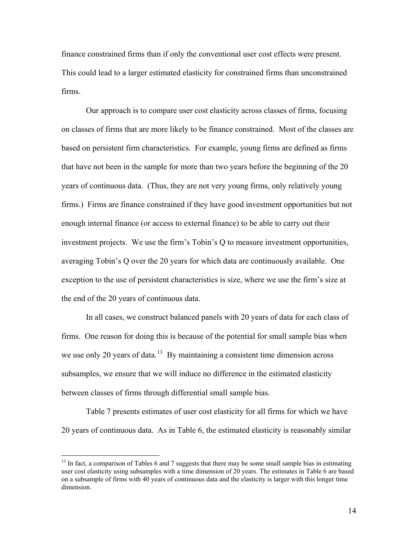finance constrained firms than if only the conventional user cost effects were present. This could lead to a larger estimated elasticity for constrained firms than unconstrained firms.

 Our approach is to compare user cost elasticity across classes of firms, focusing on classes of firms that are more likely to be finance constrained. Most of the classes are based on persistent firm characteristics. For example, young firms are defined as firms that have not been in the sample for more than two years before the beginning of the 20 years of continuous data. (Thus, they are not very young firms, only relatively young firms.) Firms are finance constrained if they have good investment opportunities but not enough internal finance (or access to external finance) to be able to carry out their investment projects. We use the firm's Tobin's Q to measure investment opportunities, averaging Tobin's Q over the 20 years for which data are continuously available. One exception to the use of persistent characteristics is size, where we use the firm's size at the end of the 20 years of continuous data.

 In all cases, we construct balanced panels with 20 years of data for each class of firms. One reason for doing this is because of the potential for small sample bias when we use only 20 years of data.<sup>[13](#page-14-0)</sup> By maintaining a consistent time dimension across subsamples, we ensure that we will induce no difference in the estimated elasticity between classes of firms through differential small sample bias.

 Table 7 presents estimates of user cost elasticity for all firms for which we have 20 years of continuous data. As in Table 6, the estimated elasticity is reasonably similar

 $\overline{a}$ 

<span id="page-14-0"></span> $13$  In fact, a comparison of Tables 6 and 7 suggests that there may be some small sample bias in estimating user cost elasticity using subsamples with a time dimension of 20 years. The estimates in Table 6 are based on a subsample of firms with 40 years of continuous data and the elasticity is larger with this longer time dimension.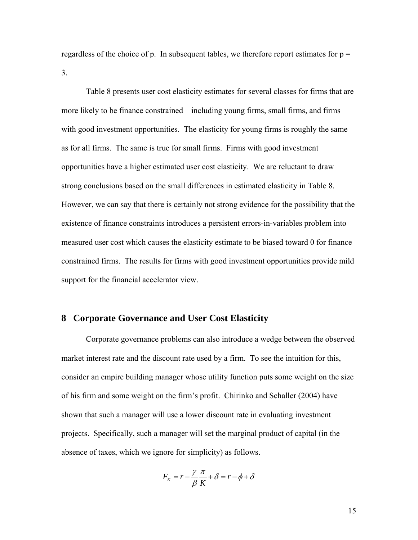regardless of the choice of p. In subsequent tables, we therefore report estimates for  $p =$ 3.

 Table 8 presents user cost elasticity estimates for several classes for firms that are more likely to be finance constrained – including young firms, small firms, and firms with good investment opportunities. The elasticity for young firms is roughly the same as for all firms. The same is true for small firms. Firms with good investment opportunities have a higher estimated user cost elasticity. We are reluctant to draw strong conclusions based on the small differences in estimated elasticity in Table 8. However, we can say that there is certainly not strong evidence for the possibility that the existence of finance constraints introduces a persistent errors-in-variables problem into measured user cost which causes the elasticity estimate to be biased toward 0 for finance constrained firms. The results for firms with good investment opportunities provide mild support for the financial accelerator view.

### **8 Corporate Governance and User Cost Elasticity**

 Corporate governance problems can also introduce a wedge between the observed market interest rate and the discount rate used by a firm. To see the intuition for this, consider an empire building manager whose utility function puts some weight on the size of his firm and some weight on the firm's profit. Chirinko and Schaller (2004) have shown that such a manager will use a lower discount rate in evaluating investment projects. Specifically, such a manager will set the marginal product of capital (in the absence of taxes, which we ignore for simplicity) as follows.

$$
F_K = r - \frac{\gamma}{\beta} \frac{\pi}{K} + \delta = r - \phi + \delta
$$

15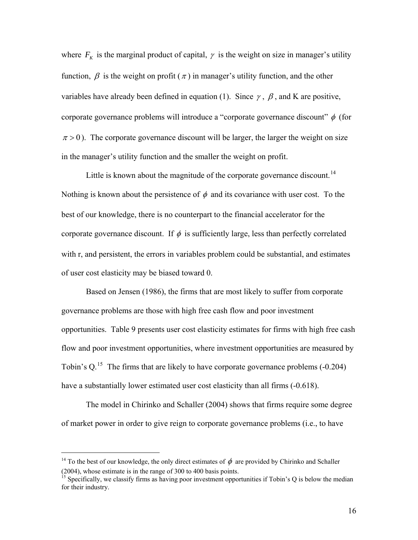where  $F_k$  is the marginal product of capital,  $\gamma$  is the weight on size in manager's utility function,  $\beta$  is the weight on profit ( $\pi$ ) in manager's utility function, and the other variables have already been defined in equation (1). Since  $\gamma$ ,  $\beta$ , and K are positive, corporate governance problems will introduce a "corporate governance discount"  $\phi$  (for  $\pi$  > 0). The corporate governance discount will be larger, the larger the weight on size in the manager's utility function and the smaller the weight on profit.

Little is known about the magnitude of the corporate governance discount.<sup>[14](#page-16-0)</sup> Nothing is known about the persistence of  $\phi$  and its covariance with user cost. To the best of our knowledge, there is no counterpart to the financial accelerator for the corporate governance discount. If  $\phi$  is sufficiently large, less than perfectly correlated with r, and persistent, the errors in variables problem could be substantial, and estimates of user cost elasticity may be biased toward 0.

 Based on Jensen (1986), the firms that are most likely to suffer from corporate governance problems are those with high free cash flow and poor investment opportunities. Table 9 presents user cost elasticity estimates for firms with high free cash flow and poor investment opportunities, where investment opportunities are measured by Tobin's Q.<sup>[15](#page-16-1)</sup> The firms that are likely to have corporate governance problems (-0.204) have a substantially lower estimated user cost elasticity than all firms (-0.618).

 The model in Chirinko and Schaller (2004) shows that firms require some degree of market power in order to give reign to corporate governance problems (i.e., to have

 $\overline{a}$ 

<span id="page-16-0"></span><sup>&</sup>lt;sup>14</sup> To the best of our knowledge, the only direct estimates of  $\phi$  are provided by Chirinko and Schaller (2004), whose estimate is in the range of 300 to 400 basis points.

<span id="page-16-1"></span><sup>&</sup>lt;sup>15</sup> Specifically, we classify firms as having poor investment opportunities if Tobin's Q is below the median for their industry.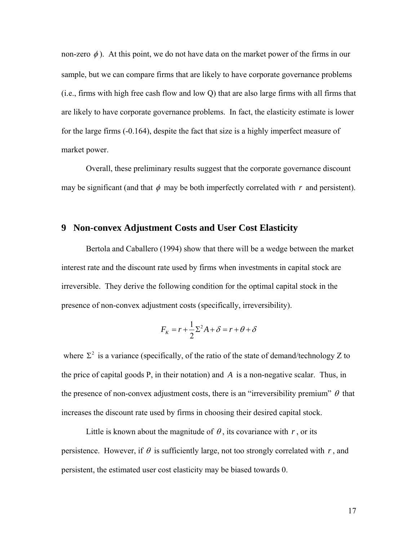non-zero  $\phi$ ). At this point, we do not have data on the market power of the firms in our sample, but we can compare firms that are likely to have corporate governance problems (i.e., firms with high free cash flow and low Q) that are also large firms with all firms that are likely to have corporate governance problems. In fact, the elasticity estimate is lower for the large firms (-0.164), despite the fact that size is a highly imperfect measure of market power.

 Overall, these preliminary results suggest that the corporate governance discount may be significant (and that  $\phi$  may be both imperfectly correlated with  $r$  and persistent).

## **9 Non-convex Adjustment Costs and User Cost Elasticity**

 Bertola and Caballero (1994) show that there will be a wedge between the market interest rate and the discount rate used by firms when investments in capital stock are irreversible. They derive the following condition for the optimal capital stock in the presence of non-convex adjustment costs (specifically, irreversibility).

$$
F_K = r + \frac{1}{2}\Sigma^2 A + \delta = r + \theta + \delta
$$

where  $\Sigma^2$  is a variance (specifically, of the ratio of the state of demand/technology Z to the price of capital goods P, in their notation) and *A* is a non-negative scalar. Thus, in the presence of non-convex adjustment costs, there is an "irreversibility premium"  $\theta$  that increases the discount rate used by firms in choosing their desired capital stock.

Little is known about the magnitude of  $\theta$ , its covariance with r, or its persistence. However, if  $\theta$  is sufficiently large, not too strongly correlated with  $r$ , and persistent, the estimated user cost elasticity may be biased towards 0.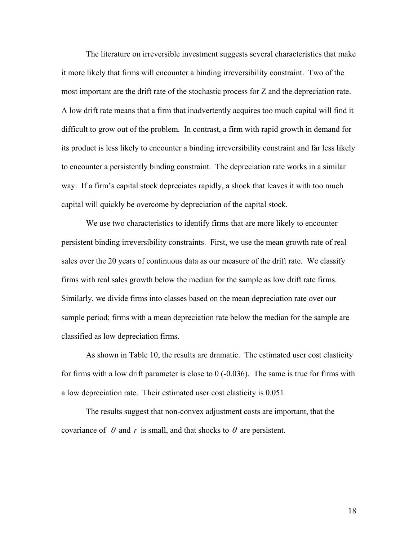The literature on irreversible investment suggests several characteristics that make it more likely that firms will encounter a binding irreversibility constraint. Two of the most important are the drift rate of the stochastic process for Z and the depreciation rate. A low drift rate means that a firm that inadvertently acquires too much capital will find it difficult to grow out of the problem. In contrast, a firm with rapid growth in demand for its product is less likely to encounter a binding irreversibility constraint and far less likely to encounter a persistently binding constraint. The depreciation rate works in a similar way. If a firm's capital stock depreciates rapidly, a shock that leaves it with too much capital will quickly be overcome by depreciation of the capital stock.

 We use two characteristics to identify firms that are more likely to encounter persistent binding irreversibility constraints. First, we use the mean growth rate of real sales over the 20 years of continuous data as our measure of the drift rate. We classify firms with real sales growth below the median for the sample as low drift rate firms. Similarly, we divide firms into classes based on the mean depreciation rate over our sample period; firms with a mean depreciation rate below the median for the sample are classified as low depreciation firms.

 As shown in Table 10, the results are dramatic. The estimated user cost elasticity for firms with a low drift parameter is close to 0 (-0.036). The same is true for firms with a low depreciation rate. Their estimated user cost elasticity is 0.051.

 The results suggest that non-convex adjustment costs are important, that the covariance of  $\theta$  and *r* is small, and that shocks to  $\theta$  are persistent.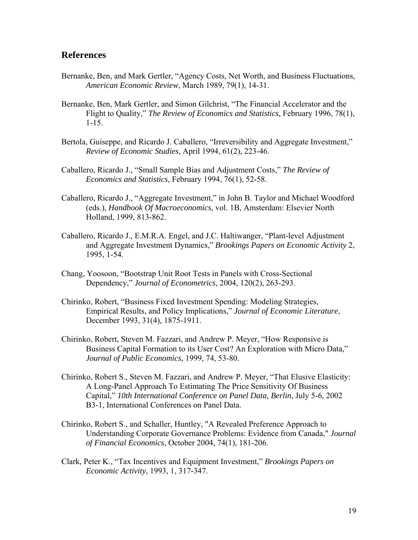## **References**

- Bernanke, Ben, and Mark Gertler, "Agency Costs, Net Worth, and Business Fluctuations, *American Economic Review*, March 1989, 79(1), 14-31.
- Bernanke, Ben, Mark Gertler, and Simon Gilchrist, "The Financial Accelerator and the Flight to Quality," *The Review of Economics and Statistics*, February 1996, 78(1), 1-15.
- Bertola, Guiseppe, and Ricardo J. Caballero, "Irreversibility and Aggregate Investment," *Review of Economic Studies*, April 1994, 61(2), 223-46.
- Caballero, Ricardo J., "Small Sample Bias and Adjustment Costs," *The Review of Economics and Statistics*, February 1994, 76(1), 52-58.
- Caballero, Ricardo J., "Aggregate Investment," in John B. Taylor and Michael Woodford (eds.), *Handbook Of Macroeconomics*, vol. 1B, Amsterdam: Elsevier North Holland, 1999, 813-862.
- Caballero, Ricardo J., E.M.R.A. Engel, and J.C. Haltiwanger, "Plant-level Adjustment and Aggregate Investment Dynamics," *Brookings Papers on Economic Activity* 2, 1995, 1-54.
- Chang, Yoosoon, "Bootstrap Unit Root Tests in Panels with Cross-Sectional Dependency," *Journal of Econometrics*, 2004, 120(2), 263-293.
- Chirinko, Robert, "Business Fixed Investment Spending: Modeling Strategies, Empirical Results, and Policy Implications," *Journal of Economic Literature*, December 1993, 31(4), 1875-1911.
- Chirinko, Robert, Steven M. Fazzari, and Andrew P. Meyer, "How Responsive is Business Capital Formation to its User Cost? An Exploration with Micro Data," *Journal of Public Economics*, 1999, 74, 53-80.
- Chirinko, Robert S., Steven M. Fazzari, and Andrew P. Meyer, "That Elusive Elasticity: A Long-Panel Approach To Estimating The Price Sensitivity Of Business Capital," *10th International Conference on Panel Data, Berlin*, July 5-6, 2002 B3-1, International Conferences on Panel Data.
- Chirinko, Robert S., and Schaller, Huntley, "A Revealed Preference Approach to Understanding Corporate Governance Problems: Evidence from Canada," *Journal of Financial Economics*, October 2004, 74(1), 181-206.
- Clark, Peter K., "Tax Incentives and Equipment Investment," *Brookings Papers on Economic Activity*, 1993, 1, 317-347.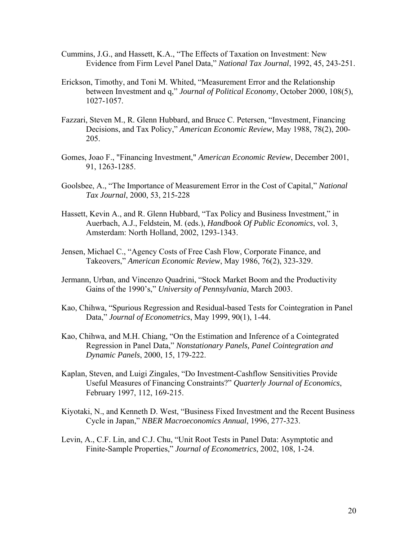- Cummins, J.G., and Hassett, K.A., "The Effects of Taxation on Investment: New Evidence from Firm Level Panel Data," *National Tax Journal*, 1992, 45, 243-251.
- Erickson, Timothy, and Toni M. Whited, "Measurement Error and the Relationship between Investment and q," *Journal of Political Economy*, October 2000, 108(5), 1027-1057.
- Fazzari, Steven M., R. Glenn Hubbard, and Bruce C. Petersen, "Investment, Financing Decisions, and Tax Policy," *American Economic Review*, May 1988, 78(2), 200- 205.
- Gomes, Joao F., "Financing Investment," *American Economic Review*, December 2001, 91, 1263-1285.
- Goolsbee, A., "The Importance of Measurement Error in the Cost of Capital," *National Tax Journal*, 2000, 53, 215-228
- Hassett, Kevin A., and R. Glenn Hubbard, "Tax Policy and Business Investment," in Auerbach, A.J., Feldstein, M. (eds.), *Handbook Of Public Economics*, vol. 3, Amsterdam: North Holland, 2002, 1293-1343.
- Jensen, Michael C., "Agency Costs of Free Cash Flow, Corporate Finance, and Takeovers," *American Economic Review*, May 1986, 76(2), 323-329.
- Jermann, Urban, and Vincenzo Quadrini, "Stock Market Boom and the Productivity Gains of the 1990's," *University of Pennsylvania*, March 2003.
- Kao, Chihwa, "Spurious Regression and Residual-based Tests for Cointegration in Panel Data," *Journal of Econometrics*, May 1999, 90(1), 1-44.
- Kao, Chihwa, and M.H. Chiang, "On the Estimation and Inference of a Cointegrated Regression in Panel Data," *Nonstationary Panels, Panel Cointegration and Dynamic Panels*, 2000, 15, 179-222.
- Kaplan, Steven, and Luigi Zingales, "Do Investment-Cashflow Sensitivities Provide Useful Measures of Financing Constraints?" *Quarterly Journal of Economics*, February 1997, 112, 169-215.
- Kiyotaki, N., and Kenneth D. West, "Business Fixed Investment and the Recent Business Cycle in Japan," *NBER Macroeconomics Annual*, 1996, 277-323.
- Levin, A., C.F. Lin, and C.J. Chu, "Unit Root Tests in Panel Data: Asymptotic and Finite-Sample Properties," *Journal of Econometrics*, 2002, 108, 1-24.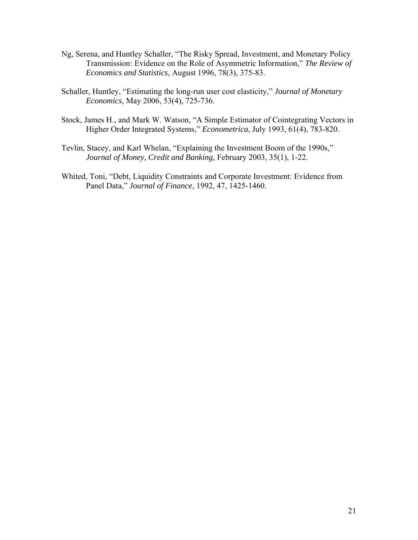- Ng, Serena, and Huntley Schaller, "The Risky Spread, Investment, and Monetary Policy Transmission: Evidence on the Role of Asymmetric Information," *The Review of Economics and Statistics*, August 1996, 78(3), 375-83.
- Schaller, Huntley, "Estimating the long-run user cost elasticity," *Journal of Monetary Economics*, May 2006, 53(4), 725-736.
- Stock, James H., and Mark W. Watson, "A Simple Estimator of Cointegrating Vectors in Higher Order Integrated Systems," *Econometrica*, July 1993, 61(4), 783-820.
- Tevlin, Stacey, and Karl Whelan, "Explaining the Investment Boom of the 1990s," *Journal of Money, Credit and Banking*, February 2003, 35(1), 1-22.
- Whited, Toni, "Debt, Liquidity Constraints and Corporate Investment: Evidence from Panel Data," *Journal of Finance*, 1992, 47, 1425-1460.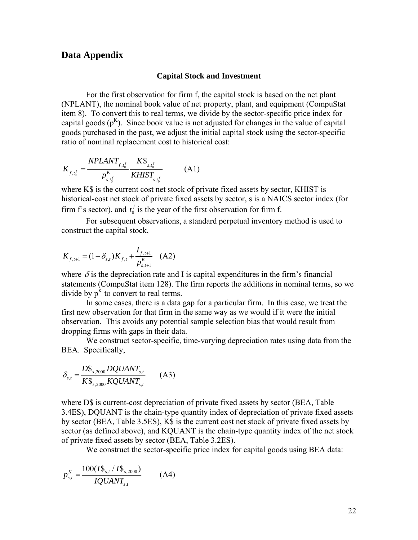### **Data Appendix**

#### **Capital Stock and Investment**

For the first observation for firm f, the capital stock is based on the net plant (NPLANT), the nominal book value of net property, plant, and equipment (CompuStat item 8). To convert this to real terms, we divide by the sector-specific price index for capital goods  $(p^{K})$ . Since book value is not adjusted for changes in the value of capital goods purchased in the past, we adjust the initial capital stock using the sector-specific ratio of nominal replacement cost to historical cost:

$$
K_{f,t_0^f} = \frac{NPLANT_{f,t_0^f}}{p_{s,t_0^f}^{\kappa}} \frac{K\$_{s,t_0^f}}{KHIST_{s,t_0^f}}
$$
(A1)

where K\$ is the current cost net stock of private fixed assets by sector, KHIST is historical-cost net stock of private fixed assets by sector, s is a NAICS sector index (for firm f's sector), and  $t_0^f$  is the year of the first observation for firm f.

 For subsequent observations, a standard perpetual inventory method is used to construct the capital stock,

$$
K_{f,t+1} = (1 - \delta_{s,t})K_{f,t} + \frac{I_{f,t+1}}{p_{s,t+1}^K} \quad (A2)
$$

where  $\delta$  is the depreciation rate and I is capital expenditures in the firm's financial statements (CompuStat item 128). The firm reports the additions in nominal terms, so we divide by  $p<sup>K</sup>$  to convert to real terms.

In some cases, there is a data gap for a particular firm. In this case, we treat the first new observation for that firm in the same way as we would if it were the initial observation. This avoids any potential sample selection bias that would result from dropping firms with gaps in their data.

We construct sector-specific, time-varying depreciation rates using data from the BEA. Specifically,

$$
\delta_{s,t} = \frac{D\$_{s,2000}}{K\$_{s,2000}} \frac{DQUANT_{s,t}}{KQUANT_{s,t}} \qquad (A3)
$$

where D\$ is current-cost depreciation of private fixed assets by sector (BEA, Table 3.4ES), DQUANT is the chain-type quantity index of depreciation of private fixed assets by sector (BEA, Table 3.5ES), K\$ is the current cost net stock of private fixed assets by sector (as defined above), and KQUANT is the chain-type quantity index of the net stock of private fixed assets by sector (BEA, Table 3.2ES).

We construct the sector-specific price index for capital goods using BEA data:

$$
p_{s,t}^{K} = \frac{100(I\$_{s,t}/I\$_{s,2000})}{IQUANT_{s,t}}
$$
 (A4)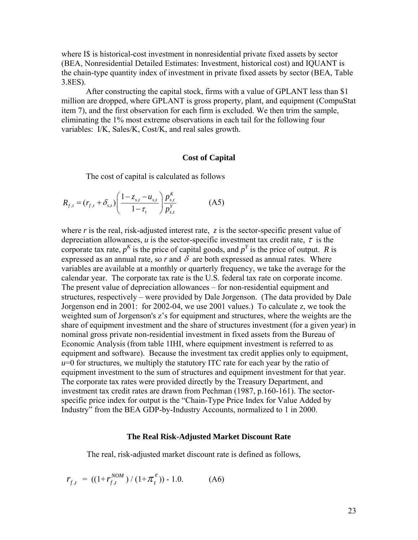where I\$ is historical-cost investment in nonresidential private fixed assets by sector (BEA, Nonresidential Detailed Estimates: Investment, historical cost) and IQUANT is the chain-type quantity index of investment in private fixed assets by sector (BEA, Table 3.8ES).

 After constructing the capital stock, firms with a value of GPLANT less than \$1 million are dropped, where GPLANT is gross property, plant, and equipment (CompuStat item 7), and the first observation for each firm is excluded. We then trim the sample, eliminating the 1% most extreme observations in each tail for the following four variables: I/K, Sales/K, Cost/K, and real sales growth.

#### **Cost of Capital**

The cost of capital is calculated as follows

$$
R_{f,t} = (r_{f,t} + \delta_{s,t}) \left( \frac{1 - z_{s,t} - u_{s,t}}{1 - \tau_t} \right) \frac{p_{s,t}^K}{p_{s,t}^Y}
$$
 (A5)

where  $r$  is the real, risk-adjusted interest rate,  $\zeta$  is the sector-specific present value of depreciation allowances,  $u$  is the sector-specific investment tax credit rate,  $\tau$  is the corporate tax rate,  $p^K$  is the price of capital goods, and  $p^Y$  is the price of output. *R* is expressed as an annual rate, so r and  $\delta$  are both expressed as annual rates. Where variables are available at a monthly or quarterly frequency, we take the average for the calendar year. The corporate tax rate is the U.S. federal tax rate on corporate income. The present value of depreciation allowances – for non-residential equipment and structures, respectively – were provided by Dale Jorgenson. (The data provided by Dale Jorgenson end in 2001: for 2002-04, we use 2001 values.) To calculate z, we took the weighted sum of Jorgenson's z's for equipment and structures, where the weights are the share of equipment investment and the share of structures investment (for a given year) in nominal gross private non-residential investment in fixed assets from the Bureau of Economic Analysis (from table 1IHI, where equipment investment is referred to as equipment and software). Because the investment tax credit applies only to equipment, *u*=0 for structures, we multiply the statutory ITC rate for each year by the ratio of equipment investment to the sum of structures and equipment investment for that year. The corporate tax rates were provided directly by the Treasury Department, and investment tax credit rates are drawn from Pechman (1987, p.160-161). The sectorspecific price index for output is the "Chain-Type Price Index for Value Added by Industry" from the BEA GDP-by-Industry Accounts, normalized to 1 in 2000.

#### **The Real Risk-Adjusted Market Discount Rate**

The real, risk-adjusted market discount rate is defined as follows,

$$
r_{f,t} = ((1 + r_{f,t}^{NOM}) / (1 + \pi_t^e)) - 1.0.
$$
 (A6)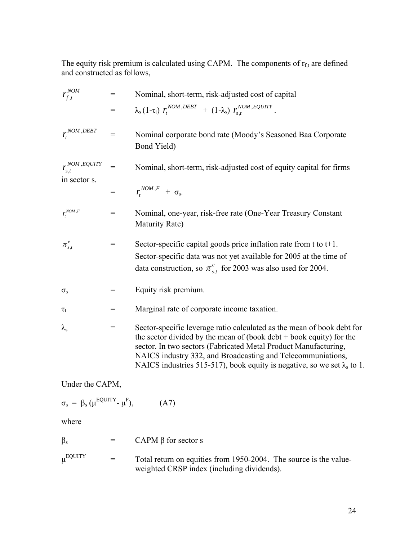The equity risk premium is calculated using CAPM. The components of  $r_{f,t}$  are defined and constructed as follows,

| $r_{f,t}^{NOM}$        | $=$ | Nominal, short-term, risk-adjusted cost of capital                                                                                                                                                                                                                                                                                                                   |
|------------------------|-----|----------------------------------------------------------------------------------------------------------------------------------------------------------------------------------------------------------------------------------------------------------------------------------------------------------------------------------------------------------------------|
|                        | $=$ | $\lambda_{\rm s} (1 - \tau_{\rm t}) r_t^{NOM, DEBT} + (1 - \lambda_{\rm s}) r_{s,t}^{NOM, EQUITY}.$                                                                                                                                                                                                                                                                  |
| $r_t^{NOM, DEBT}$      | $=$ | Nominal corporate bond rate (Moody's Seasoned Baa Corporate<br>Bond Yield)                                                                                                                                                                                                                                                                                           |
| $r_{s,t}^{NOM,EQUITY}$ | $=$ | Nominal, short-term, risk-adjusted cost of equity capital for firms                                                                                                                                                                                                                                                                                                  |
| in sector s.           | $=$ | $r_t^{NOM,F} + \sigma_s$                                                                                                                                                                                                                                                                                                                                             |
| $r_t^{\textit{NOM},F}$ | $=$ | Nominal, one-year, risk-free rate (One-Year Treasury Constant<br>Maturity Rate)                                                                                                                                                                                                                                                                                      |
| $\pi_{s,t}^e$          | $=$ | Sector-specific capital goods price inflation rate from t to $t+1$ .<br>Sector-specific data was not yet available for 2005 at the time of<br>data construction, so $\pi_{s,t}^e$ for 2003 was also used for 2004.                                                                                                                                                   |
| $\sigma_{\rm s}$       | $=$ | Equity risk premium.                                                                                                                                                                                                                                                                                                                                                 |
| $\tau_{\rm t}$         | =   | Marginal rate of corporate income taxation.                                                                                                                                                                                                                                                                                                                          |
| $\lambda_{\rm s}$      | $=$ | Sector-specific leverage ratio calculated as the mean of book debt for<br>the sector divided by the mean of (book $debt + book$ equity) for the<br>sector. In two sectors (Fabricated Metal Product Manufacturing,<br>NAICS industry 332, and Broadcasting and Telecommuniations,<br>NAICS industries 515-517), book equity is negative, so we set $\lambda_s$ to 1. |

Under the CAPM,

$$
\sigma_{s} = \beta_{s} \left( \mu^{\text{EQUITY}} \cdot \mu^{\text{F}} \right), \tag{A7}
$$

where

| CAPM $\beta$ for sector s |
|---------------------------|
|                           |

 $\mu^{\text{EQUITY}}$  = Total return on equities from 1950-2004. The source is the valueweighted CRSP index (including dividends).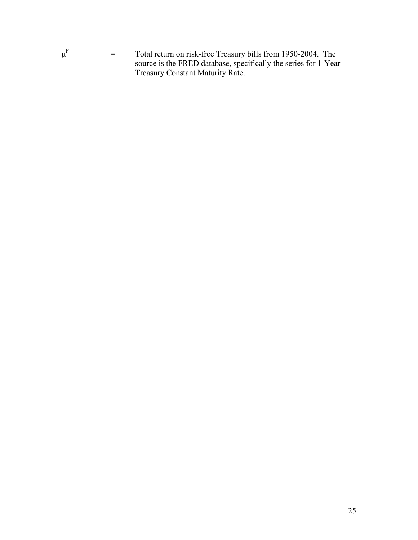

 $\mu^{\mathrm{F}}$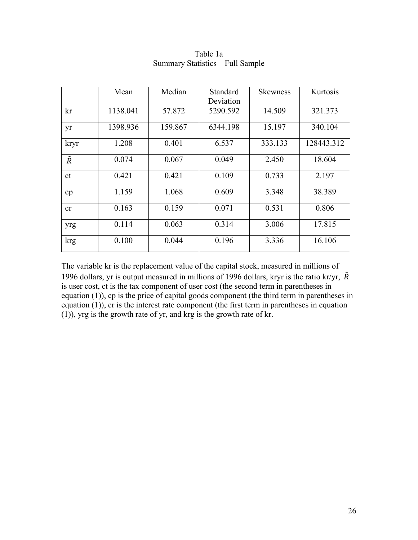|               | Mean     | Median  | Standard<br>Deviation | <b>Skewness</b> | Kurtosis   |
|---------------|----------|---------|-----------------------|-----------------|------------|
| kr            | 1138.041 | 57.872  | 5290.592              | 14.509          | 321.373    |
| yr            | 1398.936 | 159.867 | 6344.198              | 15.197          | 340.104    |
| kryr          | 1.208    | 0.401   | 6.537                 | 333.133         | 128443.312 |
| $\tilde{R}$   | 0.074    | 0.067   | 0.049                 | 2.450           | 18.604     |
| <sub>ct</sub> | 0.421    | 0.421   | 0.109                 | 0.733           | 2.197      |
| cp            | 1.159    | 1.068   | 0.609                 | 3.348           | 38.389     |
| cr            | 0.163    | 0.159   | 0.071                 | 0.531           | 0.806      |
| yrg           | 0.114    | 0.063   | 0.314                 | 3.006           | 17.815     |
| krg           | 0.100    | 0.044   | 0.196                 | 3.336           | 16.106     |

### Table 1a Summary Statistics – Full Sample

The variable kr is the replacement value of the capital stock, measured in millions of 1996 dollars, yr is output measured in millions of 1996 dollars, kryr is the ratio kr/yr,  $\tilde{R}$ is user cost, ct is the tax component of user cost (the second term in parentheses in equation (1)), cp is the price of capital goods component (the third term in parentheses in equation (1)), cr is the interest rate component (the first term in parentheses in equation (1)), yrg is the growth rate of yr, and krg is the growth rate of kr.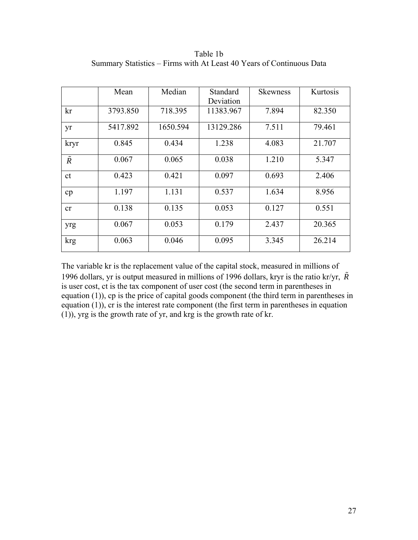|             | Mean     | Median   | Standard<br>Deviation | <b>Skewness</b> | Kurtosis |
|-------------|----------|----------|-----------------------|-----------------|----------|
| kr          | 3793.850 | 718.395  | 11383.967             | 7.894           | 82.350   |
| yr          | 5417.892 | 1650.594 | 13129.286             | 7.511           | 79.461   |
| kryr        | 0.845    | 0.434    | 1.238                 | 4.083           | 21.707   |
| $\tilde{R}$ | 0.067    | 0.065    | 0.038                 | 1.210           | 5.347    |
| ct          | 0.423    | 0.421    | 0.097                 | 0.693           | 2.406    |
| cp          | 1.197    | 1.131    | 0.537                 | 1.634           | 8.956    |
| cr          | 0.138    | 0.135    | 0.053                 | 0.127           | 0.551    |
| yrg         | 0.067    | 0.053    | 0.179                 | 2.437           | 20.365   |
| krg         | 0.063    | 0.046    | 0.095                 | 3.345           | 26.214   |

Table 1b Summary Statistics – Firms with At Least 40 Years of Continuous Data

The variable kr is the replacement value of the capital stock, measured in millions of 1996 dollars, yr is output measured in millions of 1996 dollars, kryr is the ratio kr/yr,  $\tilde{R}$ is user cost, ct is the tax component of user cost (the second term in parentheses in equation (1)), cp is the price of capital goods component (the third term in parentheses in equation (1)), cr is the interest rate component (the first term in parentheses in equation (1)), yrg is the growth rate of yr, and krg is the growth rate of kr.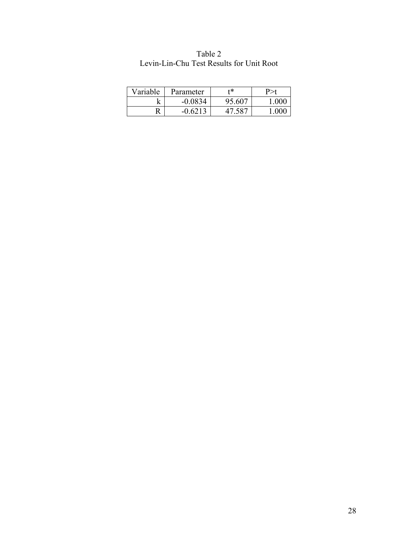| Variable | Parameter | +*     |  |
|----------|-----------|--------|--|
|          | $-0.0834$ | 95.607 |  |
|          | 6213      |        |  |

| Table 2                                  |
|------------------------------------------|
| Levin-Lin-Chu Test Results for Unit Root |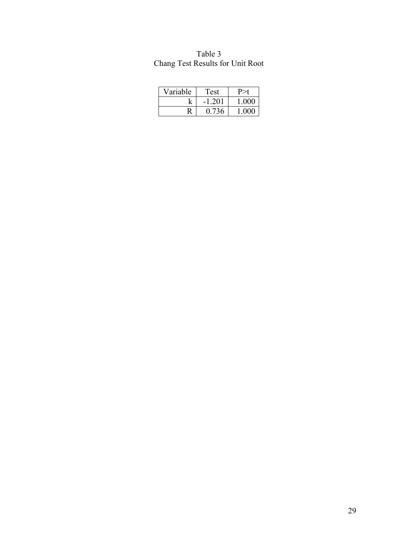| Variable | 'est  |       |
|----------|-------|-------|
|          | -201  | 1 000 |
| D        | 0 736 | ാസ    |

| Table 3                          |  |
|----------------------------------|--|
| Chang Test Results for Unit Root |  |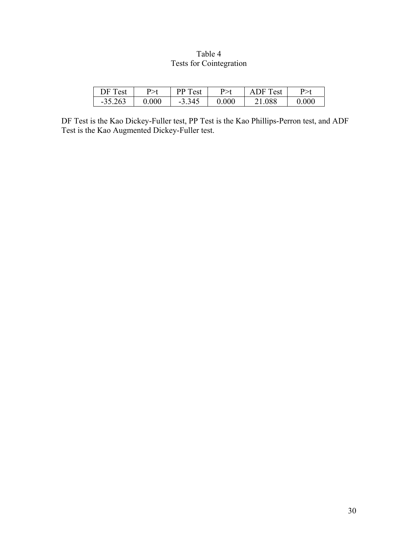# Table 4 Tests for Cointegration

| DF Test   | P>t   | PP Test  | P>t       | <b>ADF</b> Test |       |
|-----------|-------|----------|-----------|-----------------|-------|
| $-35.263$ | 0.000 | $-3.345$ | $0.000\,$ | 21.088          | 0.000 |

DF Test is the Kao Dickey-Fuller test, PP Test is the Kao Phillips-Perron test, and ADF Test is the Kao Augmented Dickey-Fuller test.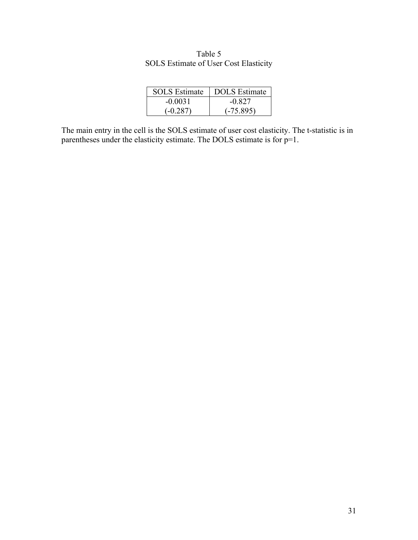| <b>SOLS</b> Estimate | <b>DOLS</b> Estimate |
|----------------------|----------------------|
| $-0.0031$            | $-0.827$             |
| $(-0.287)$           | $(-75.895)$          |

Table 5 SOLS Estimate of User Cost Elasticity

The main entry in the cell is the SOLS estimate of user cost elasticity. The t-statistic is in parentheses under the elasticity estimate. The DOLS estimate is for p=1.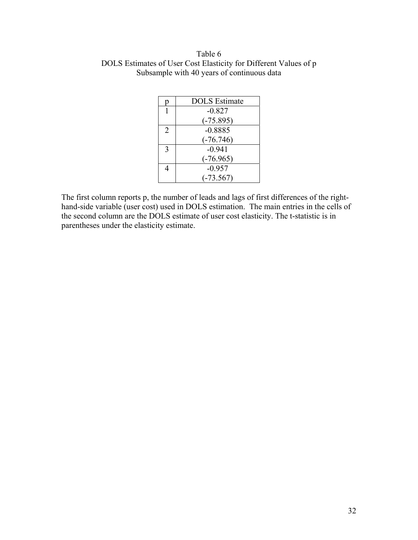## Table 6 DOLS Estimates of User Cost Elasticity for Different Values of p Subsample with 40 years of continuous data

|   | <b>DOLS</b> Estimate |  |
|---|----------------------|--|
|   | $-0.827$             |  |
|   | $(-75.895)$          |  |
| 2 | $-0.8885$            |  |
|   | $(-76.746)$          |  |
| 3 | $-0.941$             |  |
|   | $(-76.965)$          |  |
|   | $-0.957$             |  |
|   | $(-73.567)$          |  |

The first column reports p, the number of leads and lags of first differences of the righthand-side variable (user cost) used in DOLS estimation. The main entries in the cells of the second column are the DOLS estimate of user cost elasticity. The t-statistic is in parentheses under the elasticity estimate.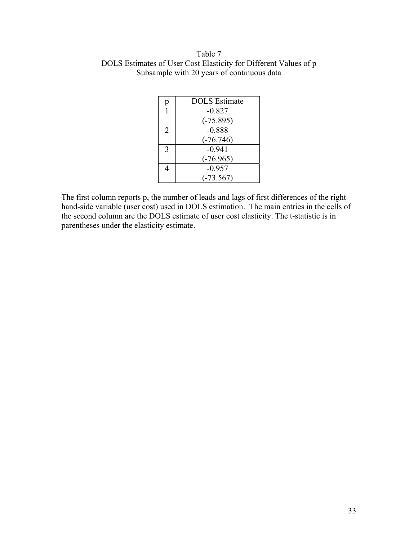## Table 7 DOLS Estimates of User Cost Elasticity for Different Values of p Subsample with 20 years of continuous data

|               | <b>DOLS</b> Estimate |  |
|---------------|----------------------|--|
|               | $-0.827$             |  |
|               | $(-75.895)$          |  |
| 2             | $-0.888$             |  |
|               | $(-76.746)$          |  |
| $\mathcal{R}$ | $-0.941$             |  |
|               | $(-76.965)$          |  |
|               | $-0.957$             |  |
|               | $(-73.567)$          |  |

The first column reports p, the number of leads and lags of first differences of the righthand-side variable (user cost) used in DOLS estimation. The main entries in the cells of the second column are the DOLS estimate of user cost elasticity. The t-statistic is in parentheses under the elasticity estimate.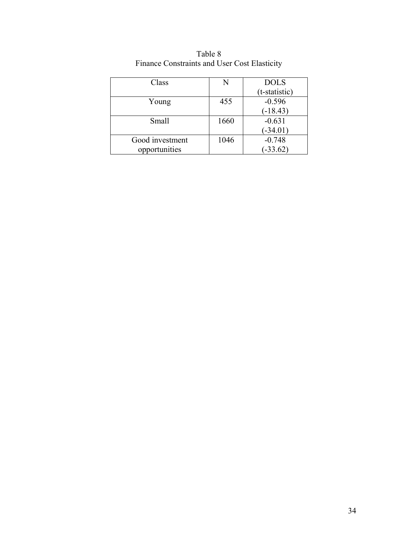| Class           | N    | <b>DOLS</b>   |
|-----------------|------|---------------|
|                 |      | (t-statistic) |
| Young           | 455  | $-0.596$      |
|                 |      | $(-18.43)$    |
| Small           | 1660 | $-0.631$      |
|                 |      | $(-34.01)$    |
| Good investment | 1046 | $-0.748$      |
| opportunities   |      | $-33.62$      |

Table 8 Finance Constraints and User Cost Elasticity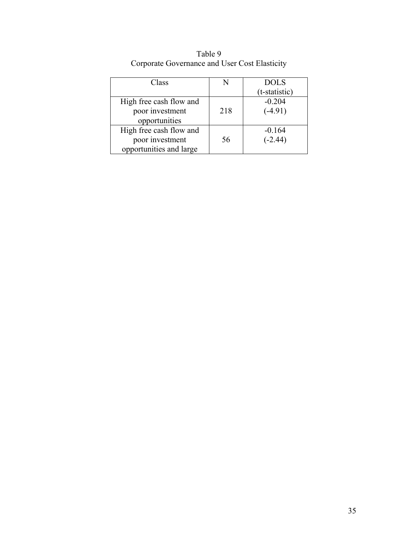| Class                   |     | <b>DOLS</b>   |
|-------------------------|-----|---------------|
|                         |     | (t-statistic) |
| High free cash flow and |     | $-0.204$      |
| poor investment         | 218 | $(-4.91)$     |
| opportunities           |     |               |
| High free cash flow and |     | $-0.164$      |
| poor investment         | 56  | $(-2.44)$     |
| opportunities and large |     |               |

Table 9 Corporate Governance and User Cost Elasticity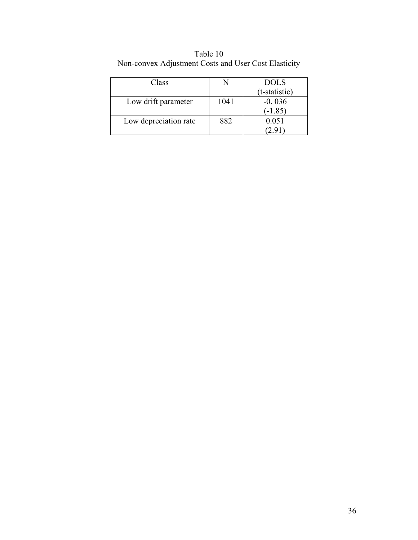| Class                 |      | <b>DOLS</b>   |
|-----------------------|------|---------------|
|                       |      | (t-statistic) |
| Low drift parameter   | 1041 | $-0.036$      |
|                       |      | $(-1.85)$     |
| Low depreciation rate | 882  | 0.051         |
|                       |      |               |

Table 10 Non-convex Adjustment Costs and User Cost Elasticity